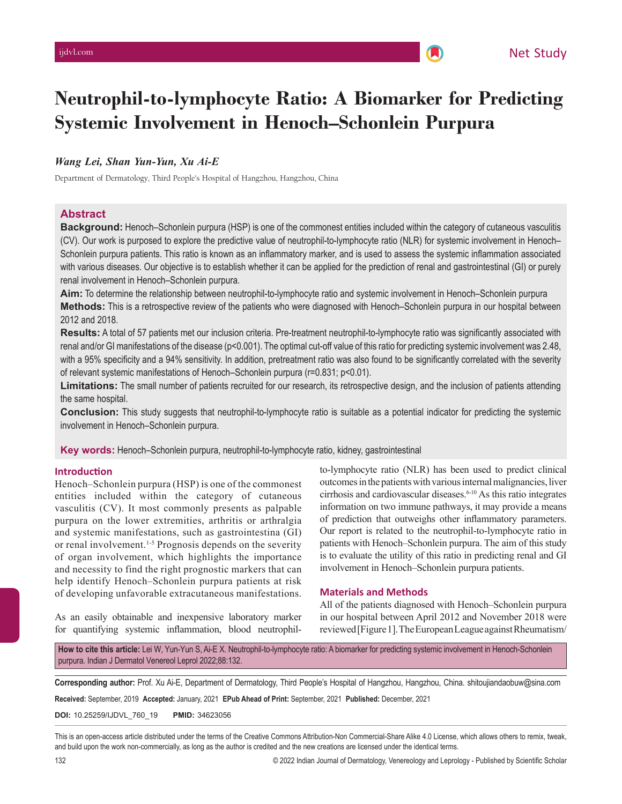# **Neutrophil-to-lymphocyte Ratio: A Biomarker for Predicting Systemic Involvement in Henoch–Schonlein Purpura**

# *Wang Lei, Shan Yun-Yun, Xu Ai-E*

Department of Dermatology, Third People's Hospital of Hangzhou, Hangzhou, China

## **Abstract**

**Background:** Henoch–Schonlein purpura (HSP) is one of the commonest entities included within the category of cutaneous vasculitis (CV). Our work is purposed to explore the predictive value of neutrophil-to-lymphocyte ratio (NLR) for systemic involvement in Henoch– Schonlein purpura patients. This ratio is known as an inflammatory marker, and is used to assess the systemic inflammation associated with various diseases. Our objective is to establish whether it can be applied for the prediction of renal and gastrointestinal (GI) or purely renal involvement in Henoch–Schonlein purpura.

**Aim:** To determine the relationship between neutrophil-to-lymphocyte ratio and systemic involvement in Henoch–Schonlein purpura **Methods:** This is a retrospective review of the patients who were diagnosed with Henoch–Schonlein purpura in our hospital between 2012 and 2018.

**Results:** A total of 57 patients met our inclusion criteria. Pre-treatment neutrophil-to-lymphocyte ratio was significantly associated with renal and/or GI manifestations of the disease (p<0.001). The optimal cut-off value of this ratio for predicting systemic involvement was 2.48, with a 95% specificity and a 94% sensitivity. In addition, pretreatment ratio was also found to be significantly correlated with the severity of relevant systemic manifestations of Henoch–Schonlein purpura (r=0.831; p<0.01).

**Limitations:** The small number of patients recruited for our research, its retrospective design, and the inclusion of patients attending the same hospital.

**Conclusion:** This study suggests that neutrophil-to-lymphocyte ratio is suitable as a potential indicator for predicting the systemic involvement in Henoch–Schonlein purpura.

**Key words:** Henoch–Schonlein purpura, neutrophil-to-lymphocyte ratio, kidney, gastrointestinal

#### **Introduction**

Henoch–Schonlein purpura (HSP) is one of the commonest entities included within the category of cutaneous vasculitis (CV). It most commonly presents as palpable purpura on the lower extremities, arthritis or arthralgia and systemic manifestations, such as gastrointestina (GI) or renal involvement.<sup>1-5</sup> Prognosis depends on the severity of organ involvement, which highlights the importance and necessity to find the right prognostic markers that can help identify Henoch–Schonlein purpura patients at risk of developing unfavorable extracutaneous manifestations.

to-lymphocyte ratio (NLR) has been used to predict clinical outcomes in the patients with various internal malignancies, liver cirrhosis and cardiovascular diseases.<sup>6-10</sup> As this ratio integrates information on two immune pathways, it may provide a means of prediction that outweighs other inflammatory parameters. Our report is related to the neutrophil-to-lymphocyte ratio in patients with Henoch–Schonlein purpura. The aim of this study is to evaluate the utility of this ratio in predicting renal and GI involvement in Henoch–Schonlein purpura patients.

#### **Materials and Methods**

As an easily obtainable and inexpensive laboratory marker for quantifying systemic inflammation, blood neutrophil-All of the patients diagnosed with Henoch–Schonlein purpura in our hospital between April 2012 and November 2018 were reviewed [Figure1]. The European League against Rheumatism/

How to cite this article: Lei W, Yun-Yun S, Ai-E X. Neutrophil-to-lymphocyte ratio: A biomarker for predicting systemic involvement in Henoch-Schonlein purpura. Indian J Dermatol Venereol Leprol 2022;88:132.II

**Corresponding author:** Prof. Xu Ai-E, Department of Dermatology, Third People's Hospital of Hangzhou, Hangzhou, China. shitoujiandaobuw@sina.com

**Received:** September, 2019 **Accepted:** January, 2021 **EPub Ahead of Print:** September, 2021 **Published:** December, 2021

**DOI:** 10.25259/IJDVL\_760\_19 **PMID:** 34623056

This is an open-access article distributed under the terms of the Creative Commons Attribution-Non Commercial-Share Alike 4.0 License, which allows others to remix, tweak, and build upon the work non-commercially, as long as the author is credited and the new creations are licensed under the identical terms.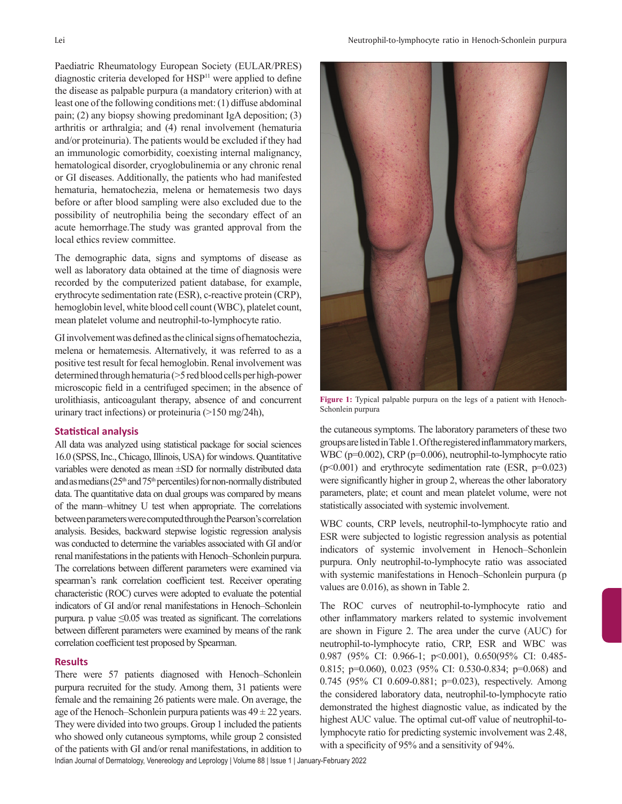diagnostic criteria developed for HSP<sup>11</sup> were applied to define the disease as palpable purpura (a mandatory criterion) with at least one of the following conditions met: (1) diffuse abdominal pain; (2) any biopsy showing predominant IgA deposition; (3) arthritis or arthralgia; and (4) renal involvement (hematuria and/or proteinuria). The patients would be excluded if they had an immunologic comorbidity, coexisting internal malignancy, hematological disorder, cryoglobulinemia or any chronic renal or GI diseases. Additionally, the patients who had manifested hematuria, hematochezia, melena or hematemesis two days before or after blood sampling were also excluded due to the possibility of neutrophilia being the secondary effect of an acute hemorrhage.The study was granted approval from the local ethics review committee.

The demographic data, signs and symptoms of disease as well as laboratory data obtained at the time of diagnosis were recorded by the computerized patient database, for example, erythrocyte sedimentation rate (ESR), c-reactive protein (CRP), hemoglobin level, white blood cell count (WBC), platelet count, mean platelet volume and neutrophil-to-lymphocyte ratio.

GI involvement was defined as the clinical signs of hematochezia, melena or hematemesis. Alternatively, it was referred to as a positive test result for fecal hemoglobin. Renal involvement was determined through hematuria (>5 red blood cells per high-power microscopic field in a centrifuged specimen; in the absence of urolithiasis, anticoagulant therapy, absence of and concurrent urinary tract infections) or proteinuria (>150 mg/24h),

# **Statistical analysis**

All data was analyzed using statistical package for social sciences 16.0 (SPSS, Inc., Chicago, Illinois, USA) for windows. Quantitative variables were denoted as mean ±SD for normally distributed data and as medians  $(25<sup>th</sup>$  and  $75<sup>th</sup>$  percentiles) for non-normally distributed data. The quantitative data on dual groups was compared by means of the mann–whitney U test when appropriate. The correlations between parameters were computed through the Pearson's correlation analysis. Besides, backward stepwise logistic regression analysis was conducted to determine the variables associated with GI and/or renal manifestations in the patients with Henoch–Schonlein purpura. The correlations between different parameters were examined via spearman's rank correlation coefficient test. Receiver operating characteristic (ROC) curves were adopted to evaluate the potential indicators of GI and/or renal manifestations in Henoch–Schonlein purpura. p value  $\leq 0.05$  was treated as significant. The correlations between different parameters were examined by means of the rank correlation coefficient test proposed by Spearman.

## **Results**

There were 57 patients diagnosed with Henoch–Schonlein purpura recruited for the study. Among them, 31 patients were female and the remaining 26 patients were male. On average, the age of the Henoch–Schonlein purpura patients was  $49 \pm 22$  years. They were divided into two groups. Group 1 included the patients who showed only cutaneous symptoms, while group 2 consisted of the patients with GI and/or renal manifestations, in addition to



**Figure 1:** Typical palpable purpura on the legs of a patient with Henoch-Schonlein purpura

the cutaneous symptoms. The laboratory parameters of these two groups are listed in Table1. Of the registered inflammatory markers, WBC (p=0.002), CRP (p=0.006), neutrophil-to-lymphocyte ratio  $(p<0.001)$  and erythrocyte sedimentation rate (ESR,  $p=0.023$ ) were significantly higher in group 2, whereas the other laboratory parameters, plate; et count and mean platelet volume, were not statistically associated with systemic involvement.

WBC counts, CRP levels, neutrophil-to-lymphocyte ratio and ESR were subjected to logistic regression analysis as potential indicators of systemic involvement in Henoch–Schonlein purpura. Only neutrophil-to-lymphocyte ratio was associated with systemic manifestations in Henoch–Schonlein purpura (p values are 0.016), as shown in Table 2.

The ROC curves of neutrophil-to-lymphocyte ratio and other inflammatory markers related to systemic involvement are shown in Figure 2. The area under the curve (AUC) for neutrophil-to-lymphocyte ratio, CRP, ESR and WBC was 0.987 (95% CI: 0.966-1; p<0.001), 0.650(95% CI: 0.485- 0.815; p=0.060), 0.023 (95% CI: 0.530-0.834; p=0.068) and 0.745 (95% CI 0.609-0.881; p=0.023), respectively. Among the considered laboratory data, neutrophil-to-lymphocyte ratio demonstrated the highest diagnostic value, as indicated by the highest AUC value. The optimal cut-off value of neutrophil-tolymphocyte ratio for predicting systemic involvement was 2.48, with a specificity of 95% and a sensitivity of 94%.

Indian Journal of Dermatology, Venereology and Leprology | Volume 88 | Issue 1 | January-February 2022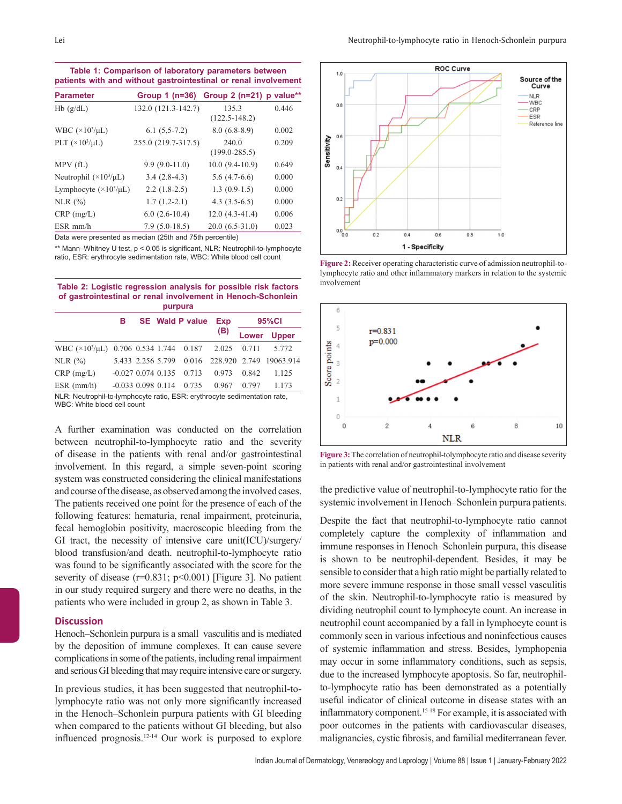**Table 1: Comparison of laboratory parameters between patients with and without gastrointestinal or renal involvement**

| <b>Parameter</b>                 | Group $1$ ( $n=36$ ) | Group $2(n=21)$            | p value** |
|----------------------------------|----------------------|----------------------------|-----------|
| Hb(g/dL)                         | 132.0 (121.3-142.7)  | 135.3<br>$(122.5 - 148.2)$ | 0.446     |
| WBC $(\times 10^3/\mu L)$        | $6.1(5,5-7.2)$       | $8.0(6.8-8.9)$             | 0.002     |
| PLT $(\times 10^3/\mu L)$        | 255.0 (219.7-317.5)  | 240.0<br>$(199.0 - 285.5)$ | 0.209     |
| MPV(fL)                          | $9.9(9.0-11.0)$      | $10.0(9.4-10.9)$           | 0.649     |
| Neutrophil $(\times 10^3/\mu L)$ | $3.4(2.8-4.3)$       | $5.6(4.7-6.6)$             | 0.000     |
| Lymphocyte $(\times 10^3/\mu L)$ | $2.2(1.8-2.5)$       | $1.3(0.9-1.5)$             | 0.000     |
| NLR $(\%)$                       | $1.7(1.2-2.1)$       | $4.3(3.5-6.5)$             | 0.000     |
| $CRP$ (mg/L)                     | $6.0(2.6-10.4)$      | $12.0(4.3-41.4)$           | 0.006     |
| $ESR$ mm/h                       | $7.9(5.0-18.5)$      | $20.0(6.5-31.0)$           | 0.023     |

Data were presented as median (25th and 75th percentile)

\*\* Mann–Whitney U test, p < 0.05 is significant, NLR: Neutrophil-to-lymphocyte ratio, ESR: erythrocyte sedimentation rate, WBC: White blood cell count

| Table 2: Logistic regression analysis for possible risk factors |  |  |  |  |  |  |  |  |
|-----------------------------------------------------------------|--|--|--|--|--|--|--|--|
| of gastrointestinal or renal involvement in Henoch-Schonlein    |  |  |  |  |  |  |  |  |
| purpura                                                         |  |  |  |  |  |  |  |  |

|                                                                                                                   | в                    |  |  | <b>SE</b> Wald P value | <b>Exp</b> | 95%Cl |                                                 |  |  |  |  |
|-------------------------------------------------------------------------------------------------------------------|----------------------|--|--|------------------------|------------|-------|-------------------------------------------------|--|--|--|--|
|                                                                                                                   |                      |  |  |                        | (B)        | Lower | <b>Upper</b>                                    |  |  |  |  |
| WBC $(\times 10^3/\mu L)$ 0.706 0.534 1.744 0.187                                                                 |                      |  |  |                        | 2.025      | 0.711 | 5.772                                           |  |  |  |  |
| NLR $(%)$                                                                                                         |                      |  |  |                        |            |       | 5.433 2.256 5.799 0.016 228.920 2.749 19063.914 |  |  |  |  |
| $CRP$ (mg/L)                                                                                                      | $-0.027$ 0.074 0.135 |  |  | 0.713                  | 0.973      | 0.842 | 1.125                                           |  |  |  |  |
| $ESR$ (mm/h)                                                                                                      | $-0.033$ 0.098 0.114 |  |  | 0.735                  | 0.967      | 0.797 | 1.173                                           |  |  |  |  |
| NLR: Neutrophil-to-lymphocyte ratio, ESR: erythrocyte sedimentation rate,<br>$MRO \cdot M/h$ ito blood coll count |                      |  |  |                        |            |       |                                                 |  |  |  |  |

WBC: White blood cell count

A further examination was conducted on the correlation between neutrophil-to-lymphocyte ratio and the severity of disease in the patients with renal and/or gastrointestinal involvement. In this regard, a simple seven-point scoring system was constructed considering the clinical manifestations and course of the disease, as observed among the involved cases. The patients received one point for the presence of each of the following features: hematuria, renal impairment, proteinuria, fecal hemoglobin positivity, macroscopic bleeding from the GI tract, the necessity of intensive care unit(ICU)/surgery/ blood transfusion/and death. neutrophil-to-lymphocyte ratio was found to be significantly associated with the score for the severity of disease ( $r=0.831$ ;  $p<0.001$ ) [Figure 3]. No patient in our study required surgery and there were no deaths, in the patients who were included in group 2, as shown in Table 3.

#### **Discussion**

Henoch–Schonlein purpura is a small vasculitis and is mediated by the deposition of immune complexes. It can cause severe complications in some of the patients, including renal impairment and serious GI bleeding that may require intensive care or surgery.

In previous studies, it has been suggested that neutrophil-tolymphocyte ratio was not only more significantly increased in the Henoch–Schonlein purpura patients with GI bleeding when compared to the patients without GI bleeding, but also influenced prognosis.12-14 Our work is purposed to explore



**Figure 2:** Receiver operating characteristic curve of admission neutrophil-tolymphocyte ratio and other inflammatory markers in relation to the systemic involvement



**Figure 3:** The correlation of neutrophil-tolymphocyte ratio and disease severity in patients with renal and/or gastrointestinal involvement

the predictive value of neutrophil-to-lymphocyte ratio for the systemic involvement in Henoch–Schonlein purpura patients.

Despite the fact that neutrophil-to-lymphocyte ratio cannot completely capture the complexity of inflammation and immune responses in Henoch–Schonlein purpura, this disease is shown to be neutrophil-dependent. Besides, it may be sensible to consider that a high ratio might be partially related to more severe immune response in those small vessel vasculitis of the skin. Neutrophil-to-lymphocyte ratio is measured by dividing neutrophil count to lymphocyte count. An increase in neutrophil count accompanied by a fall in lymphocyte count is commonly seen in various infectious and noninfectious causes of systemic inflammation and stress. Besides, lymphopenia may occur in some inflammatory conditions, such as sepsis, due to the increased lymphocyte apoptosis. So far, neutrophilto-lymphocyte ratio has been demonstrated as a potentially useful indicator of clinical outcome in disease states with an inflammatory component.15-18 For example, it is associated with poor outcomes in the patients with cardiovascular diseases, malignancies, cystic fibrosis, and familial mediterranean fever.